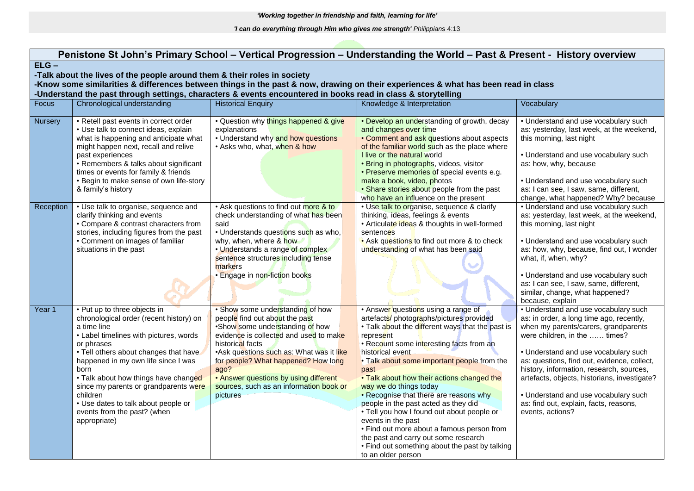| Penistone St John's Primary School - Vertical Progression - Understanding the World - Past & Present - History overview                                                                                                                                                                                                                   |                                                                                                                                                                                                                                                                                                                                                                                                                           |                                                                                                                                                                                                                                                                                                                                                                |                                                                                                                                                                                                                                                                                                                                                                                                                                                                                                                                                                                                                                                                     |                                                                                                                                                                                                                                                                                                                                                                                                                                                    |
|-------------------------------------------------------------------------------------------------------------------------------------------------------------------------------------------------------------------------------------------------------------------------------------------------------------------------------------------|---------------------------------------------------------------------------------------------------------------------------------------------------------------------------------------------------------------------------------------------------------------------------------------------------------------------------------------------------------------------------------------------------------------------------|----------------------------------------------------------------------------------------------------------------------------------------------------------------------------------------------------------------------------------------------------------------------------------------------------------------------------------------------------------------|---------------------------------------------------------------------------------------------------------------------------------------------------------------------------------------------------------------------------------------------------------------------------------------------------------------------------------------------------------------------------------------------------------------------------------------------------------------------------------------------------------------------------------------------------------------------------------------------------------------------------------------------------------------------|----------------------------------------------------------------------------------------------------------------------------------------------------------------------------------------------------------------------------------------------------------------------------------------------------------------------------------------------------------------------------------------------------------------------------------------------------|
| $ELG -$<br>-Talk about the lives of the people around them & their roles in society<br>-Know some similarities & differences between things in the past & now, drawing on their experiences & what has been read in class<br>-Understand the past through settings, characters & events encountered in books read in class & storytelling |                                                                                                                                                                                                                                                                                                                                                                                                                           |                                                                                                                                                                                                                                                                                                                                                                |                                                                                                                                                                                                                                                                                                                                                                                                                                                                                                                                                                                                                                                                     |                                                                                                                                                                                                                                                                                                                                                                                                                                                    |
| Focus                                                                                                                                                                                                                                                                                                                                     | Chronological understanding                                                                                                                                                                                                                                                                                                                                                                                               | <b>Historical Enquiry</b>                                                                                                                                                                                                                                                                                                                                      | Knowledge & Interpretation                                                                                                                                                                                                                                                                                                                                                                                                                                                                                                                                                                                                                                          | Vocabulary                                                                                                                                                                                                                                                                                                                                                                                                                                         |
| <b>Nursery</b>                                                                                                                                                                                                                                                                                                                            | • Retell past events in correct order<br>• Use talk to connect ideas, explain<br>what is happening and anticipate what<br>might happen next, recall and relive<br>past experiences<br>• Remembers & talks about significant<br>times or events for family & friends<br>• Begin to make sense of own life-story<br>& family's history                                                                                      | . Question why things happened & give<br>explanations<br>. Understand why and how questions<br>. Asks who, what, when & how                                                                                                                                                                                                                                    | • Develop an understanding of growth, decay<br>and changes over time<br>• Comment and ask questions about aspects<br>of the familiar world such as the place where<br>I live or the natural world<br>• Bring in photographs, videos, visitor<br>• Preserve memories of special events e.g.<br>make a book, video, photos<br>• Share stories about people from the past<br>who have an influence on the present                                                                                                                                                                                                                                                      | • Understand and use vocabulary such<br>as: yesterday, last week, at the weekend,<br>this morning, last night<br>• Understand and use vocabulary such<br>as: how, why, because<br>• Understand and use vocabulary such<br>as: I can see, I saw, same, different,<br>change, what happened? Why? because                                                                                                                                            |
| Reception                                                                                                                                                                                                                                                                                                                                 | • Use talk to organise, sequence and<br>clarify thinking and events<br>• Compare & contrast characters from<br>stories, including figures from the past<br>• Comment on images of familiar<br>situations in the past                                                                                                                                                                                                      | . Ask questions to find out more & to<br>check understanding of what has been<br>said<br>· Understands questions such as who,<br>why, when, where & how<br>• Understands a range of complex<br>sentence structures including tense<br>markers<br>· Engage in non-fiction books                                                                                 | . Use talk to organise, sequence & clarify<br>thinking, ideas, feelings & events<br>• Articulate ideas & thoughts in well-formed<br>sentences<br>. Ask questions to find out more & to check<br>understanding of what has been said                                                                                                                                                                                                                                                                                                                                                                                                                                 | • Understand and use vocabulary such<br>as: yesterday, last week, at the weekend,<br>this morning, last night<br>• Understand and use vocabulary such<br>as: how, why, because, find out, I wonder<br>what, if, when, why?<br>• Understand and use vocabulary such<br>as: I can see, I saw, same, different,<br>similar, change, what happened?<br>because, explain                                                                                |
| Year 1                                                                                                                                                                                                                                                                                                                                    | • Put up to three objects in<br>chronological order (recent history) on<br>a time line<br>• Label timelines with pictures, words<br>or phrases<br>• Tell others about changes that have<br>happened in my own life since I was<br>born<br>• Talk about how things have changed<br>since my parents or grandparents were<br>children<br>• Use dates to talk about people or<br>events from the past? (when<br>appropriate) | • Show some understanding of how<br>people find out about the past<br>•Show some understanding of how<br>evidence is collected and used to make<br>historical facts<br>.Ask questions such as: What was it like<br>for people? What happened? How long<br>ago?<br>• Answer questions by using different<br>sources, such as an information book or<br>pictures | • Answer questions using a range of<br>artefacts/ photographs/pictures provided<br>• Talk about the different ways that the past is<br>represent<br>• Recount some interesting facts from an<br>historical event<br>. Talk about some important people from the<br>past<br>. Talk about how their actions changed the<br>way we do things today<br>. Recognise that there are reasons why<br>people in the past acted as they did<br>• Tell you how I found out about people or<br>events in the past<br>• Find out more about a famous person from<br>the past and carry out some research<br>• Find out something about the past by talking<br>to an older person | • Understand and use vocabulary such<br>as: in order, a long time ago, recently,<br>when my parents/carers, grandparents<br>were children, in the  times?<br>• Understand and use vocabulary such<br>as: questions, find out, evidence, collect,<br>history, information, research, sources,<br>artefacts, objects, historians, investigate?<br>• Understand and use vocabulary such<br>as: find out, explain, facts, reasons,<br>events, actions? |